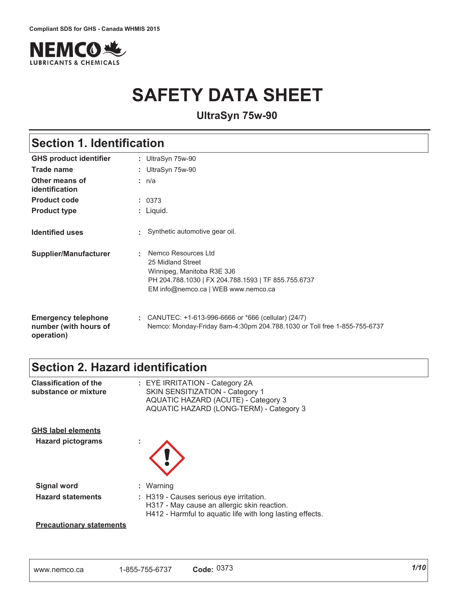

# **SAFETY DATA SHEET**

UltraSyn 75w-90

# **Section 1. Identification**

| <b>GHS product identifier</b>                                     | : UltraSyn 75w-90                                                                                                                                                         |
|-------------------------------------------------------------------|---------------------------------------------------------------------------------------------------------------------------------------------------------------------------|
| Trade name                                                        | : UltraSyn 75w-90                                                                                                                                                         |
| Other means of<br>identification                                  | : $n/a$                                                                                                                                                                   |
| <b>Product code</b>                                               | : 0373                                                                                                                                                                    |
| <b>Product type</b>                                               | $:$ Liquid.                                                                                                                                                               |
| <b>Identified uses</b>                                            | Synthetic automotive gear oil.                                                                                                                                            |
| Supplier/Manufacturer                                             | Nemco Resources Ltd<br>÷<br>25 Midland Street<br>Winnipeg, Manitoba R3E 3J6<br>PH 204.788.1030   FX 204.788.1593   TF 855.755.6737<br>EM info@nemco.ca   WEB www.nemco.ca |
| <b>Emergency telephone</b><br>number (with hours of<br>operation) | CANUTEC: $+1-613-996-6666$ or $*666$ (cellular) (24/7)<br>Nemco: Monday-Friday 8am-4:30pm 204.788.1030 or Toll free 1-855-755-6737                                        |

# **Section 2. Hazard identification**

| <b>Classification of the</b><br>substance or mixture  | : EYE IRRITATION - Category 2A<br>SKIN SENSITIZATION - Category 1<br><b>AQUATIC HAZARD (ACUTE) - Category 3</b><br>AQUATIC HAZARD (LONG-TERM) - Category 3       |
|-------------------------------------------------------|------------------------------------------------------------------------------------------------------------------------------------------------------------------|
| <b>GHS label elements</b><br><b>Hazard pictograms</b> |                                                                                                                                                                  |
| <b>Signal word</b><br><b>Hazard statements</b>        | : Warning<br>: H319 - Causes serious eye irritation.<br>H317 - May cause an allergic skin reaction.<br>H412 - Harmful to aquatic life with long lasting effects. |
| <b>Precautionary statements</b>                       |                                                                                                                                                                  |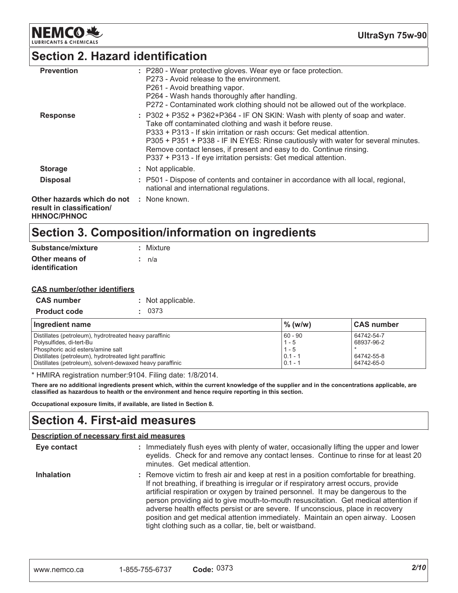

# Section 2. Hazard identification

| <b>Prevention</b>                                                                           | : P280 - Wear protective gloves. Wear eye or face protection.<br>P273 - Avoid release to the environment.<br>P261 - Avoid breathing vapor.<br>P264 - Wash hands thoroughly after handling.<br>P272 - Contaminated work clothing should not be allowed out of the workplace.                                                                                                                                                                            |
|---------------------------------------------------------------------------------------------|--------------------------------------------------------------------------------------------------------------------------------------------------------------------------------------------------------------------------------------------------------------------------------------------------------------------------------------------------------------------------------------------------------------------------------------------------------|
| <b>Response</b>                                                                             | $: P302 + P352 + P362 + P364 - IF ON SKIN: Wash with plenty of soap and water.$<br>Take off contaminated clothing and wash it before reuse.<br>P333 + P313 - If skin irritation or rash occurs: Get medical attention.<br>P305 + P351 + P338 - IF IN EYES: Rinse cautiously with water for several minutes.<br>Remove contact lenses, if present and easy to do. Continue rinsing.<br>P337 + P313 - If eye irritation persists: Get medical attention. |
| <b>Storage</b>                                                                              | : Not applicable.                                                                                                                                                                                                                                                                                                                                                                                                                                      |
| <b>Disposal</b>                                                                             | : P501 - Dispose of contents and container in accordance with all local, regional,<br>national and international regulations.                                                                                                                                                                                                                                                                                                                          |
| Other hazards which do not : None known.<br>result in classification/<br><b>HHNOC/PHNOC</b> |                                                                                                                                                                                                                                                                                                                                                                                                                                                        |

# Section 3. Composition/information on ingredients

| Substance/mixture     | : Mixture |
|-----------------------|-----------|
| Other means of        | ∶ n/a     |
| <b>identification</b> |           |

#### **CAS number/other identifiers**

| <b>CAS number</b>   | : Not applicable |
|---------------------|------------------|
| <b>Product code</b> | . 0373           |

| Ingredient name                                           | $\%$ (w/w) | <b>CAS number</b> |
|-----------------------------------------------------------|------------|-------------------|
| Distillates (petroleum), hydrotreated heavy paraffinic    | $60 - 90$  | 64742-54-7        |
| Polysulfides, di-tert-Bu                                  | $1 - 5$    | 68937-96-2        |
| Phosphoric acid esters/amine salt                         | $1 - 5$    |                   |
| Distillates (petroleum), hydrotreated light paraffinic    | $0.1 - 1$  | 64742-55-8        |
| Distillates (petroleum), solvent-dewaxed heavy paraffinic | $0.1 - 1$  | 64742-65-0        |

\* HMIRA registration number: 9104. Filing date: 1/8/2014.

There are no additional ingredients present which, within the current knowledge of the supplier and in the concentrations applicable, are classified as hazardous to health or the environment and hence require reporting in this section.

Occupational exposure limits, if available, are listed in Section 8.

### **Section 4. First-aid measures**

#### **Description of necessary first aid measures**

| Eye contact       | : Immediately flush eyes with plenty of water, occasionally lifting the upper and lower<br>eyelids. Check for and remove any contact lenses. Continue to rinse for at least 20<br>minutes. Get medical attention.                                                                                                                                                                                                                                                                                                                                                                            |
|-------------------|----------------------------------------------------------------------------------------------------------------------------------------------------------------------------------------------------------------------------------------------------------------------------------------------------------------------------------------------------------------------------------------------------------------------------------------------------------------------------------------------------------------------------------------------------------------------------------------------|
| <b>Inhalation</b> | : Remove victim to fresh air and keep at rest in a position comfortable for breathing.<br>If not breathing, if breathing is irregular or if respiratory arrest occurs, provide<br>artificial respiration or oxygen by trained personnel. It may be dangerous to the<br>person providing aid to give mouth-to-mouth resuscitation. Get medical attention if<br>adverse health effects persist or are severe. If unconscious, place in recovery<br>position and get medical attention immediately. Maintain an open airway. Loosen<br>tight clothing such as a collar, tie, belt or waistband. |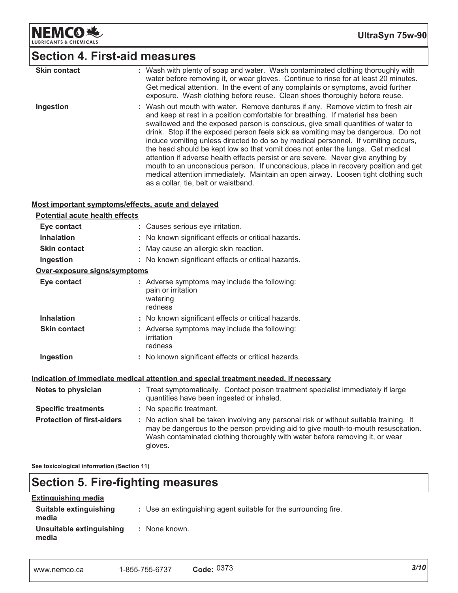

# Section 4. First-aid measures

| <b>Skin contact</b> | : Wash with plenty of soap and water. Wash contaminated clothing thoroughly with<br>water before removing it, or wear gloves. Continue to rinse for at least 20 minutes.<br>Get medical attention. In the event of any complaints or symptoms, avoid further<br>exposure. Wash clothing before reuse. Clean shoes thoroughly before reuse.                                                                                                                                                                                                                                                                                                                                                                                                                                                                                   |
|---------------------|------------------------------------------------------------------------------------------------------------------------------------------------------------------------------------------------------------------------------------------------------------------------------------------------------------------------------------------------------------------------------------------------------------------------------------------------------------------------------------------------------------------------------------------------------------------------------------------------------------------------------------------------------------------------------------------------------------------------------------------------------------------------------------------------------------------------------|
| Ingestion           | : Wash out mouth with water. Remove dentures if any. Remove victim to fresh air<br>and keep at rest in a position comfortable for breathing. If material has been<br>swallowed and the exposed person is conscious, give small quantities of water to<br>drink. Stop if the exposed person feels sick as vomiting may be dangerous. Do not<br>induce vomiting unless directed to do so by medical personnel. If vomiting occurs,<br>the head should be kept low so that vomit does not enter the lungs. Get medical<br>attention if adverse health effects persist or are severe. Never give anything by<br>mouth to an unconscious person. If unconscious, place in recovery position and get<br>medical attention immediately. Maintain an open airway. Loosen tight clothing such<br>as a collar, tie, belt or waistband. |

#### Most important symptoms/effects, acute and delayed

| Potential acute health effects    |                                                                                                                                                                                                                                                                          |  |
|-----------------------------------|--------------------------------------------------------------------------------------------------------------------------------------------------------------------------------------------------------------------------------------------------------------------------|--|
| Eye contact                       | : Causes serious eye irritation.                                                                                                                                                                                                                                         |  |
| <b>Inhalation</b>                 | : No known significant effects or critical hazards.                                                                                                                                                                                                                      |  |
| <b>Skin contact</b>               | : May cause an allergic skin reaction.                                                                                                                                                                                                                                   |  |
| Ingestion                         | : No known significant effects or critical hazards.                                                                                                                                                                                                                      |  |
| Over-exposure signs/symptoms      |                                                                                                                                                                                                                                                                          |  |
| Eye contact                       | : Adverse symptoms may include the following:<br>pain or irritation<br>watering<br>redness                                                                                                                                                                               |  |
| <b>Inhalation</b>                 | : No known significant effects or critical hazards.                                                                                                                                                                                                                      |  |
| <b>Skin contact</b>               | : Adverse symptoms may include the following:<br>irritation<br>redness                                                                                                                                                                                                   |  |
| Ingestion                         | : No known significant effects or critical hazards.                                                                                                                                                                                                                      |  |
|                                   | Indication of immediate medical attention and special treatment needed, if necessary                                                                                                                                                                                     |  |
| Notes to physician                | : Treat symptomatically. Contact poison treatment specialist immediately if large<br>quantities have been ingested or inhaled.                                                                                                                                           |  |
| <b>Specific treatments</b>        | : No specific treatment.                                                                                                                                                                                                                                                 |  |
| <b>Protection of first-aiders</b> | : No action shall be taken involving any personal risk or without suitable training. It<br>may be dangerous to the person providing aid to give mouth-to-mouth resuscitation.<br>Wash contaminated clothing thoroughly with water before removing it, or wear<br>gloves. |  |
|                                   |                                                                                                                                                                                                                                                                          |  |

See toxicological information (Section 11)

# **Section 5. Fire-fighting measures**

| <b>Extinguishing media</b>        |                                                                 |
|-----------------------------------|-----------------------------------------------------------------|
| Suitable extinguishing<br>media   | : Use an extinguishing agent suitable for the surrounding fire. |
| Unsuitable extinguishing<br>media | : None known.                                                   |

| www.nemco.ca | 1-855-755-6737 | Code: $0373$ |  |
|--------------|----------------|--------------|--|
|              |                |              |  |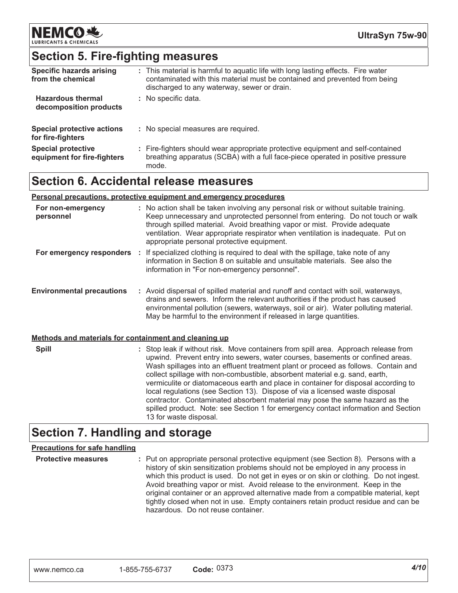

## **Section 5. Fire-fighting measures**

| <b>Specific hazards arising</b><br>from the chemical     | : This material is harmful to aquatic life with long lasting effects. Fire water<br>contaminated with this material must be contained and prevented from being<br>discharged to any waterway, sewer or drain. |
|----------------------------------------------------------|---------------------------------------------------------------------------------------------------------------------------------------------------------------------------------------------------------------|
| <b>Hazardous thermal</b><br>decomposition products       | : No specific data.                                                                                                                                                                                           |
| <b>Special protective actions</b><br>for fire-fighters   | : No special measures are required.                                                                                                                                                                           |
| <b>Special protective</b><br>equipment for fire-fighters | : Fire-fighters should wear appropriate protective equipment and self-contained<br>breathing apparatus (SCBA) with a full face-piece operated in positive pressure<br>mode.                                   |

### **Section 6. Accidental release measures**

#### **<u>Personal precautions, protective equipment and emergency procedures</u>**

| For non-emergency<br>personnel                        | : No action shall be taken involving any personal risk or without suitable training.<br>Keep unnecessary and unprotected personnel from entering. Do not touch or walk<br>through spilled material. Avoid breathing vapor or mist. Provide adequate<br>ventilation. Wear appropriate respirator when ventilation is inadequate. Put on<br>appropriate personal protective equipment.                                                                                                                                                                                                                                                                                                                            |  |
|-------------------------------------------------------|-----------------------------------------------------------------------------------------------------------------------------------------------------------------------------------------------------------------------------------------------------------------------------------------------------------------------------------------------------------------------------------------------------------------------------------------------------------------------------------------------------------------------------------------------------------------------------------------------------------------------------------------------------------------------------------------------------------------|--|
| For emergency responders :                            | If specialized clothing is required to deal with the spillage, take note of any<br>information in Section 8 on suitable and unsuitable materials. See also the<br>information in "For non-emergency personnel".                                                                                                                                                                                                                                                                                                                                                                                                                                                                                                 |  |
| <b>Environmental precautions</b>                      | : Avoid dispersal of spilled material and runoff and contact with soil, waterways,<br>drains and sewers. Inform the relevant authorities if the product has caused<br>environmental pollution (sewers, waterways, soil or air). Water polluting material.<br>May be harmful to the environment if released in large quantities.                                                                                                                                                                                                                                                                                                                                                                                 |  |
| Methods and materials for containment and cleaning up |                                                                                                                                                                                                                                                                                                                                                                                                                                                                                                                                                                                                                                                                                                                 |  |
| <b>Spill</b>                                          | : Stop leak if without risk. Move containers from spill area. Approach release from<br>upwind. Prevent entry into sewers, water courses, basements or confined areas.<br>Wash spillages into an effluent treatment plant or proceed as follows. Contain and<br>collect spillage with non-combustible, absorbent material e.g. sand, earth,<br>vermiculite or diatomaceous earth and place in container for disposal according to<br>local regulations (see Section 13). Dispose of via a licensed waste disposal<br>contractor. Contaminated absorbent material may pose the same hazard as the<br>spilled product. Note: see Section 1 for emergency contact information and Section<br>13 for waste disposal. |  |

## **Section 7. Handling and storage**

#### <u>Precautions for safe handling</u>

 **ive measures** : Put on appropriate personal protective equipment (see Section 8). Persons with a history of skin sensitization problems should not be employed in any process in which this product is used. Do not get in eyes or on skin or clothing. Do not ingest. Avoid breathing vapor or mist. Avoid release to the environment. Keep in the original container or an approved alternative made from a compatible material, kept tightly closed when not in use. Empty containers retain product residue and can be hazardous. Do not reuse container.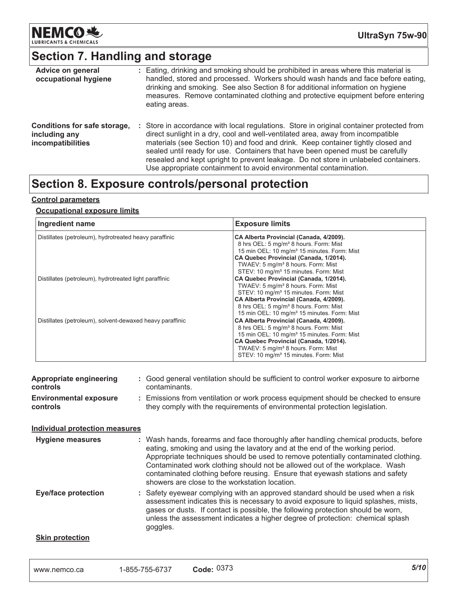

# **Section 7. Handling and storage**

| Advice on general<br>occupational hygiene                          | : Eating, drinking and smoking should be prohibited in areas where this material is<br>handled, stored and processed. Workers should wash hands and face before eating,<br>drinking and smoking. See also Section 8 for additional information on hygiene<br>measures. Remove contaminated clothing and protective equipment before entering<br>eating areas.                                                                                                                                                 |
|--------------------------------------------------------------------|---------------------------------------------------------------------------------------------------------------------------------------------------------------------------------------------------------------------------------------------------------------------------------------------------------------------------------------------------------------------------------------------------------------------------------------------------------------------------------------------------------------|
| Conditions for safe storage,<br>including any<br>incompatibilities | : Store in accordance with local regulations. Store in original container protected from<br>direct sunlight in a dry, cool and well-ventilated area, away from incompatible<br>materials (see Section 10) and food and drink. Keep container tightly closed and<br>sealed until ready for use. Containers that have been opened must be carefully<br>resealed and kept upright to prevent leakage. Do not store in unlabeled containers.<br>Use appropriate containment to avoid environmental contamination. |

### Section 8. Exposure controls/personal protection

#### **<u>Control parameters</u>**

#### <u> Occupational exposure limits</u>

| Ingredient name                                           | <b>Exposure limits</b>                                                                                                                                                                                                                                                                                    |
|-----------------------------------------------------------|-----------------------------------------------------------------------------------------------------------------------------------------------------------------------------------------------------------------------------------------------------------------------------------------------------------|
| Distillates (petroleum), hydrotreated heavy paraffinic    | CA Alberta Provincial (Canada, 4/2009).<br>8 hrs OEL: 5 mg/m <sup>3</sup> 8 hours. Form: Mist<br>15 min OEL: 10 mg/m <sup>3</sup> 15 minutes. Form: Mist<br>CA Quebec Provincial (Canada, 1/2014).<br>TWAEV: 5 mg/m <sup>3</sup> 8 hours. Form: Mist<br>STEV: 10 mg/m <sup>3</sup> 15 minutes. Form: Mist |
| Distillates (petroleum), hydrotreated light paraffinic    | CA Quebec Provincial (Canada, 1/2014).<br>TWAEV: 5 mg/m <sup>3</sup> 8 hours. Form: Mist<br>STEV: 10 mg/m <sup>3</sup> 15 minutes. Form: Mist<br>CA Alberta Provincial (Canada, 4/2009).<br>8 hrs OEL: 5 mg/m <sup>3</sup> 8 hours. Form: Mist<br>15 min OEL: 10 mg/m <sup>3</sup> 15 minutes. Form: Mist |
| Distillates (petroleum), solvent-dewaxed heavy paraffinic | CA Alberta Provincial (Canada, 4/2009).<br>8 hrs OEL: 5 mg/m <sup>3</sup> 8 hours. Form: Mist<br>15 min OEL: 10 mg/m <sup>3</sup> 15 minutes. Form: Mist<br>CA Quebec Provincial (Canada, 1/2014).<br>TWAEV: 5 mg/m <sup>3</sup> 8 hours. Form: Mist<br>STEV: 10 mg/m <sup>3</sup> 15 minutes. Form: Mist |

| Appropriate engineering<br><b>controls</b>       | Good general ventilation should be sufficient to control worker exposure to airborne<br>contaminants.                                                          |
|--------------------------------------------------|----------------------------------------------------------------------------------------------------------------------------------------------------------------|
| <b>Environmental exposure</b><br><b>controls</b> | Emissions from ventilation or work process equipment should be checked to ensure<br>they comply with the requirements of environmental protection legislation. |

#### **ndividual protection measures**

| <b>Hygiene measures</b>    | : Wash hands, forearms and face thoroughly after handling chemical products, before<br>eating, smoking and using the lavatory and at the end of the working period.<br>Appropriate techniques should be used to remove potentially contaminated clothing.<br>Contaminated work clothing should not be allowed out of the workplace. Wash<br>contaminated clothing before reusing. Ensure that eyewash stations and safety<br>showers are close to the workstation location. |
|----------------------------|-----------------------------------------------------------------------------------------------------------------------------------------------------------------------------------------------------------------------------------------------------------------------------------------------------------------------------------------------------------------------------------------------------------------------------------------------------------------------------|
| <b>Eye/face protection</b> | : Safety eyewear complying with an approved standard should be used when a risk<br>assessment indicates this is necessary to avoid exposure to liquid splashes, mists,<br>gases or dusts. If contact is possible, the following protection should be worn,<br>unless the assessment indicates a higher degree of protection: chemical splash<br>goggles.                                                                                                                    |
| Skin protoction            |                                                                                                                                                                                                                                                                                                                                                                                                                                                                             |

#### <u>**<u>Skin protection</u>**</u>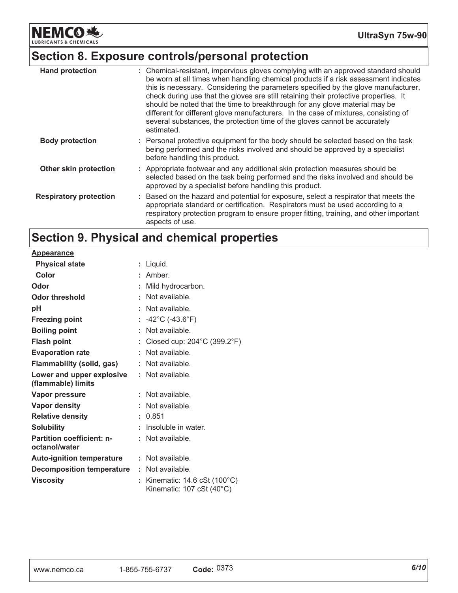**NEMCO 地** LUBRICANTS & CHEMICALS

# Section 8. Exposure controls/personal protection

| <b>Hand protection</b>        | : Chemical-resistant, impervious gloves complying with an approved standard should<br>be worn at all times when handling chemical products if a risk assessment indicates<br>this is necessary. Considering the parameters specified by the glove manufacturer,<br>check during use that the gloves are still retaining their protective properties. It<br>should be noted that the time to breakthrough for any glove material may be<br>different for different glove manufacturers. In the case of mixtures, consisting of<br>several substances, the protection time of the gloves cannot be accurately<br>estimated. |
|-------------------------------|---------------------------------------------------------------------------------------------------------------------------------------------------------------------------------------------------------------------------------------------------------------------------------------------------------------------------------------------------------------------------------------------------------------------------------------------------------------------------------------------------------------------------------------------------------------------------------------------------------------------------|
| <b>Body protection</b>        | : Personal protective equipment for the body should be selected based on the task<br>being performed and the risks involved and should be approved by a specialist<br>before handling this product.                                                                                                                                                                                                                                                                                                                                                                                                                       |
| Other skin protection         | : Appropriate footwear and any additional skin protection measures should be<br>selected based on the task being performed and the risks involved and should be<br>approved by a specialist before handling this product.                                                                                                                                                                                                                                                                                                                                                                                                 |
| <b>Respiratory protection</b> | : Based on the hazard and potential for exposure, select a respirator that meets the<br>appropriate standard or certification. Respirators must be used according to a<br>respiratory protection program to ensure proper fitting, training, and other important<br>aspects of use.                                                                                                                                                                                                                                                                                                                                       |

# Section 9. Physical and chemical properties

**Appearance** 

| <b>Physical state</b>                             |    | Liquid.                                                                                      |
|---------------------------------------------------|----|----------------------------------------------------------------------------------------------|
| Color                                             |    | Amber.                                                                                       |
| Odor                                              |    | Mild hydrocarbon.                                                                            |
| Odor threshold                                    |    | Not available.                                                                               |
| рH                                                |    | Not available.                                                                               |
| <b>Freezing point</b>                             | t. | $-42^{\circ}$ C (-43.6 $^{\circ}$ F)                                                         |
| <b>Boiling point</b>                              |    | Not available.                                                                               |
| <b>Flash point</b>                                |    | Closed cup: $204^{\circ}$ C (399.2 $^{\circ}$ F)                                             |
| <b>Evaporation rate</b>                           |    | Not available.                                                                               |
| Flammability (solid, gas)                         |    | Not available.                                                                               |
| Lower and upper explosive<br>(flammable) limits   |    | Not available.                                                                               |
| <b>Vapor pressure</b>                             |    | Not available.                                                                               |
| Vapor density                                     |    | Not available.                                                                               |
| <b>Relative density</b>                           | t. | 0.851                                                                                        |
| <b>Solubility</b>                                 |    | Insoluble in water.                                                                          |
| <b>Partition coefficient: n-</b><br>octanol/water |    | Not available.                                                                               |
| <b>Auto-ignition temperature</b>                  | t. | Not available.                                                                               |
| <b>Decomposition temperature</b>                  | t. | Not available.                                                                               |
| <b>Viscosity</b>                                  |    | Kinematic: $14.6 \text{ cSt } (100^{\circ} \text{C})$<br>Kinematic: 107 cSt $(40^{\circ}$ C) |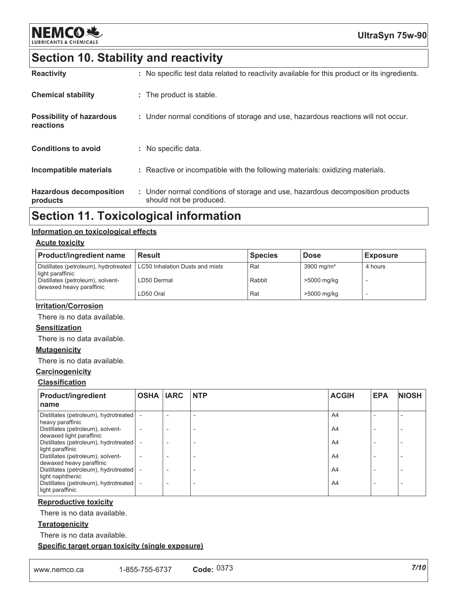

# Section 10. Stability and reactivity

| <b>Reactivity</b>                            | : No specific test data related to reactivity available for this product or its ingredients.              |
|----------------------------------------------|-----------------------------------------------------------------------------------------------------------|
| <b>Chemical stability</b>                    | : The product is stable.                                                                                  |
| <b>Possibility of hazardous</b><br>reactions | : Under normal conditions of storage and use, hazardous reactions will not occur.                         |
| <b>Conditions to avoid</b>                   | : No specific data.                                                                                       |
| Incompatible materials                       | : Reactive or incompatible with the following materials: oxidizing materials.                             |
| <b>Hazardous decomposition</b><br>products   | : Under normal conditions of storage and use, hazardous decomposition products<br>should not be produced. |

# **Section 11. Toxicological information**

#### <u>Information on toxicological effects</u>

#### <u>Acute toxicity</u>

| <b>Product/ingredient name</b>                                | <b>Result</b>                   | <b>Species</b> | <b>Dose</b>            | <b>Exposure</b> |
|---------------------------------------------------------------|---------------------------------|----------------|------------------------|-----------------|
| Distillates (petroleum), hydrotreated<br>light paraffinic     | LC50 Inhalation Dusts and mists | . Rat          | 3900 mg/m <sup>3</sup> | 4 hours         |
| Distillates (petroleum), solvent-<br>dewaxed heavy paraffinic | LD50 Dermal                     | Rabbit         | >5000 mg/kg            |                 |
|                                                               | LD50 Oral                       | Rat            | >5000 mg/kg            |                 |

#### <u>**Irritation/Corrosion</u>**</u>

There is no data available.

#### <u>Sensitization</u>

There is no data available.

#### <u>**Mutagenicity</u>**</u>

There is no data available.

#### **Carcinogenicity**

#### <u>Classification</u>

| <b>Product/ingredient</b>                                                     | <b>OSHA</b> | <b>IARC</b> | <b>NTP</b> | <b>ACGIH</b> | <b>EPA</b> | <b>NIOSH</b> |
|-------------------------------------------------------------------------------|-------------|-------------|------------|--------------|------------|--------------|
| name                                                                          |             |             |            |              |            |              |
| Distillates (petroleum), hydrotreated<br>heavy paraffinic                     |             |             |            | A4           |            |              |
| Distillates (petroleum), solvent-                                             |             |             |            | A4           |            |              |
| dewaxed light paraffinic<br>Distillates (petroleum), hydrotreated             |             |             |            | A4           |            |              |
| light paraffinic<br>Distillates (petroleum), solvent-                         |             |             |            | A4           |            |              |
| dewaxed heavy paraffinic<br>Distillates (petroleum), hydrotreated             |             |             |            | A4           |            |              |
| light naphthenic<br>Distillates (petroleum), hydrotreated<br>light paraffinic |             |             |            | A4           |            |              |

#### <u>Reproductive toxicity</u>

There is no data available.

#### <u>Teratogenicity</u>

There is no data available.

#### <u>**<u>Specific target organ toxicity (single exposure)</u>**</u>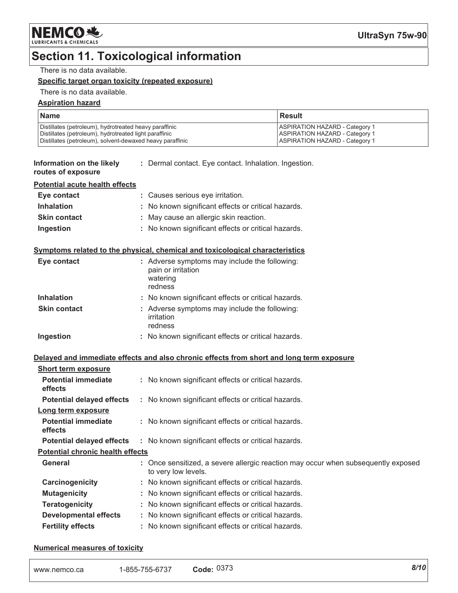# **Section 11. Toxicological information**

#### There is no data available.

#### Specific target organ toxicity (repeated exposure)

#### There is no data available.

#### **Aspiration hazard**

| <b>Name</b>                                               | l Result                              |
|-----------------------------------------------------------|---------------------------------------|
| Distillates (petroleum), hydrotreated heavy paraffinic    | <b>ASPIRATION HAZARD - Category 1</b> |
| Distillates (petroleum), hydrotreated light paraffinic    | <b>ASPIRATION HAZARD - Category 1</b> |
| Distillates (petroleum), solvent-dewaxed heavy paraffinic | <b>ASPIRATION HAZARD - Category 1</b> |

| Information on the likely | : Dermal contact. Eye contact. Inhalation. Ingestion. |
|---------------------------|-------------------------------------------------------|
| routes of exposure        |                                                       |

| <b>Potential acute health effects</b> |  |  |
|---------------------------------------|--|--|
|                                       |  |  |

| Eye contact         | : Causes serious eye irritation.                    |
|---------------------|-----------------------------------------------------|
| <b>Inhalation</b>   | : No known significant effects or critical hazards. |
| <b>Skin contact</b> | : May cause an allergic skin reaction.              |
| Ingestion           | : No known significant effects or critical hazards. |

#### Symptoms related to the physical, chemical and toxicological characteristics

| Eye contact         | : Adverse symptoms may include the following:<br>pain or irritation<br>watering<br>redness |
|---------------------|--------------------------------------------------------------------------------------------|
| <b>Inhalation</b>   | : No known significant effects or critical hazards.                                        |
| <b>Skin contact</b> | : Adverse symptoms may include the following:<br>irritation<br>redness                     |
| Ingestion           | : No known significant effects or critical hazards.                                        |

#### Delayed and immediate effects and also chronic effects from short and long term exposure

| <b>Short term exposure</b>              |                                                                                                          |
|-----------------------------------------|----------------------------------------------------------------------------------------------------------|
| <b>Potential immediate</b><br>effects   | : No known significant effects or critical hazards.                                                      |
| <b>Potential delayed effects</b>        | : No known significant effects or critical hazards.                                                      |
| Long term exposure                      |                                                                                                          |
| <b>Potential immediate</b><br>effects   | : No known significant effects or critical hazards.                                                      |
| <b>Potential delayed effects</b>        | : No known significant effects or critical hazards.                                                      |
| <b>Potential chronic health effects</b> |                                                                                                          |
| General                                 | : Once sensitized, a severe allergic reaction may occur when subsequently exposed<br>to very low levels. |
| Carcinogenicity                         | : No known significant effects or critical hazards.                                                      |
| <b>Mutagenicity</b>                     | : No known significant effects or critical hazards.                                                      |
| <b>Teratogenicity</b>                   | : No known significant effects or critical hazards.                                                      |
| <b>Developmental effects</b>            | : No known significant effects or critical hazards.                                                      |
| <b>Fertility effects</b>                | : No known significant effects or critical hazards.                                                      |

#### **Numerical measures of toxicity**

| 1-855-755-6737<br>www.nemco.ca | 027c<br>Code: $03/3$ | 8/10 |
|--------------------------------|----------------------|------|
|--------------------------------|----------------------|------|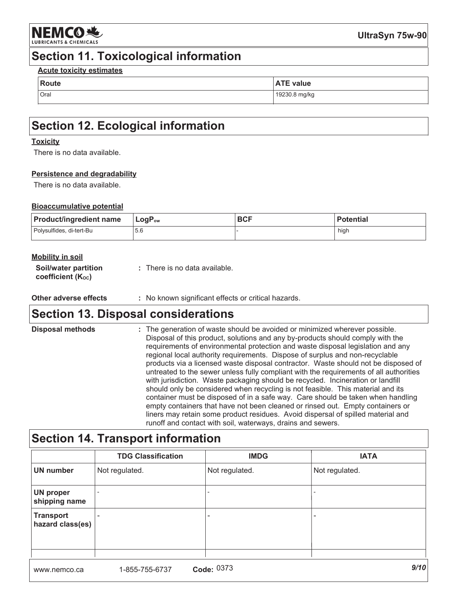

# **Section 11. Toxicological information**

#### **Acute toxicity estimates**

| Route | ---<br><b>ATE value</b> |  |
|-------|-------------------------|--|
| Oral  | 19230.8 mg/kg           |  |

# **Section 12. Ecological information**

#### **Toxicity**

There is no data available.

#### Persistence and degradability

There is no data available.

#### **Bioaccumulative potential**

| <b>Product/ingredient name</b> | $\mathsf{LogP}_\mathsf{ow}$ | <b>BCF</b> | <b>Potential</b> |
|--------------------------------|-----------------------------|------------|------------------|
| Polysulfides, di-tert-Bu       | 5.6                         |            | high             |

|  |  | <b>Mobility in soil</b> |
|--|--|-------------------------|
|  |  |                         |

| Soil/water partition | : There is no data available. |
|----------------------|-------------------------------|
| coefficient (Koc)    |                               |

Other adverse effects : No known significant effects or critical hazards.

### **Section 13. Disposal considerations**

| <b>Disposal methods</b> | : The generation of waste should be avoided or minimized wherever possible.<br>Disposal of this product, solutions and any by-products should comply with the<br>requirements of environmental protection and waste disposal legislation and any<br>regional local authority requirements. Dispose of surplus and non-recyclable<br>products via a licensed waste disposal contractor. Waste should not be disposed of<br>untreated to the sewer unless fully compliant with the requirements of all authorities<br>with jurisdiction. Waste packaging should be recycled. Incineration or landfill<br>should only be considered when recycling is not feasible. This material and its<br>container must be disposed of in a safe way. Care should be taken when handling<br>empty containers that have not been cleaned or rinsed out. Empty containers or<br>liners may retain some product residues. Avoid dispersal of spilled material and |
|-------------------------|-------------------------------------------------------------------------------------------------------------------------------------------------------------------------------------------------------------------------------------------------------------------------------------------------------------------------------------------------------------------------------------------------------------------------------------------------------------------------------------------------------------------------------------------------------------------------------------------------------------------------------------------------------------------------------------------------------------------------------------------------------------------------------------------------------------------------------------------------------------------------------------------------------------------------------------------------|
|                         | runoff and contact with soil, waterways, drains and sewers.                                                                                                                                                                                                                                                                                                                                                                                                                                                                                                                                                                                                                                                                                                                                                                                                                                                                                     |

# **Section 14. Transport information**

|                                      | <b>TDG Classification</b> | <b>IMDG</b>    | <b>IATA</b>    |  |
|--------------------------------------|---------------------------|----------------|----------------|--|
| <b>UN number</b>                     | Not regulated.            | Not regulated. | Not regulated. |  |
| <b>UN proper</b><br>shipping name    |                           |                |                |  |
| <b>Transport</b><br>hazard class(es) | $\overline{\phantom{a}}$  | -              | -              |  |
|                                      |                           |                |                |  |
| 0/10<br>$\sim$ $\sim$ 0272           |                           |                |                |  |